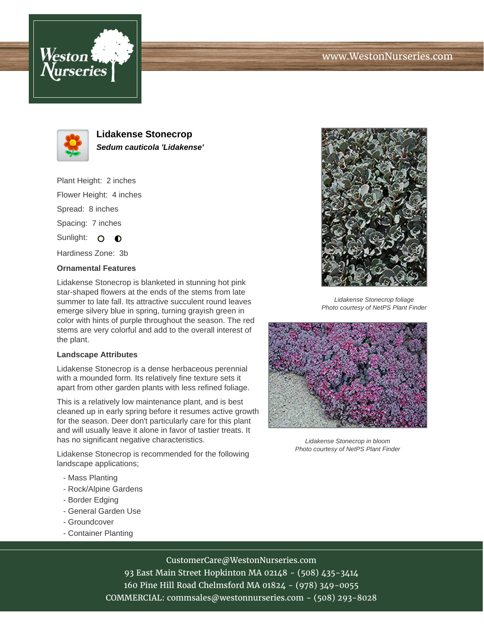





**Lidakense Stonecrop Sedum cauticola 'Lidakense'**

Plant Height: 2 inches Flower Height: 4 inches Spread: 8 inches Spacing: 7 inches Sunlight: O O

Hardiness Zone: 3b

## **Ornamental Features**

Lidakense Stonecrop is blanketed in stunning hot pink star-shaped flowers at the ends of the stems from late summer to late fall. Its attractive succulent round leaves emerge silvery blue in spring, turning grayish green in color with hints of purple throughout the season. The red stems are very colorful and add to the overall interest of the plant.

## **Landscape Attributes**

Lidakense Stonecrop is a dense herbaceous perennial with a mounded form. Its relatively fine texture sets it apart from other garden plants with less refined foliage.

This is a relatively low maintenance plant, and is best cleaned up in early spring before it resumes active growth for the season. Deer don't particularly care for this plant and will usually leave it alone in favor of tastier treats. It has no significant negative characteristics.

Lidakense Stonecrop is recommended for the following landscape applications;

- Mass Planting
- Rock/Alpine Gardens
- Border Edging
- General Garden Use
- Groundcover
- Container Planting



CustomerCare@WestonNurseries.com

93 East Main Street Hopkinton MA 02148 - (508) 435-3414 160 Pine Hill Road Chelmsford MA 01824 - (978) 349-0055 COMMERCIAL: commsales@westonnurseries.com - (508) 293-8028



Lidakense Stonecrop foliage Photo courtesy of NetPS Plant Finder



Lidakense Stonecrop in bloom Photo courtesy of NetPS Plant Finder